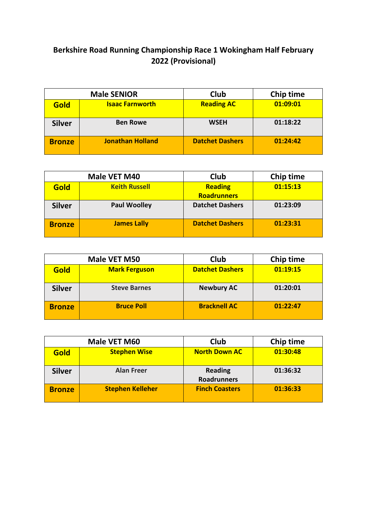## **Berkshire Road Running Championship Race 1 Wokingham Half February 2022 (Provisional)**

| <b>Male SENIOR</b> |                         | Club                   | Chip time |
|--------------------|-------------------------|------------------------|-----------|
| Gold               | <b>Isaac Farnworth</b>  | <b>Reading AC</b>      | 01:09:01  |
| <b>Silver</b>      | <b>Ben Rowe</b>         | <b>WSEH</b>            | 01:18:22  |
| <b>Bronze</b>      | <b>Jonathan Holland</b> | <b>Datchet Dashers</b> | 01:24:42  |

|               | Male VET M40         | Club                   | Chip time |
|---------------|----------------------|------------------------|-----------|
| Gold          | <b>Keith Russell</b> | <b>Reading</b>         | 01:15:13  |
|               |                      | <b>Roadrunners</b>     |           |
| <b>Silver</b> | <b>Paul Woolley</b>  | <b>Datchet Dashers</b> | 01:23:09  |
|               |                      |                        |           |
| <b>Bronze</b> | <b>James Lally</b>   | <b>Datchet Dashers</b> | 01:23:31  |
|               |                      |                        |           |

| Male VET M50  |                      | <b>Club</b>            | Chip time |
|---------------|----------------------|------------------------|-----------|
| Gold          | <b>Mark Ferguson</b> | <b>Datchet Dashers</b> | 01:19:15  |
| <b>Silver</b> | <b>Steve Barnes</b>  | <b>Newbury AC</b>      | 01:20:01  |
| <b>Bronze</b> | <b>Bruce Poll</b>    | <b>Bracknell AC</b>    | 01:22:47  |

|               | Male VET M60        | Club                                 | Chip time |
|---------------|---------------------|--------------------------------------|-----------|
| Gold          | <b>Stephen Wise</b> | <b>North Down AC</b>                 | 01:30:48  |
| <b>Silver</b> | <b>Alan Freer</b>   | <b>Reading</b><br><b>Roadrunners</b> | 01:36:32  |
| <b>Bronze</b> | Stephen Kelleher    | <b>Finch Coasters</b>                | 01:36:33  |